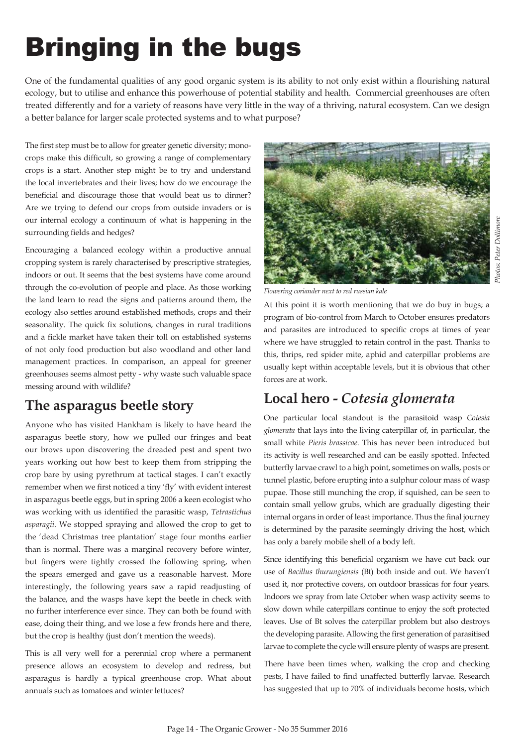# Photos: Peter Dollimore Photos: Peter Dollimore

## **Bringing in the bugs**

One of the fundamental qualities of any good organic system is its ability to not only exist within a flourishing natural ecology, but to utilise and enhance this powerhouse of potential stability and health. Commercial greenhouses are often treated differently and for a variety of reasons have very little in the way of a thriving, natural ecosystem. Can we design a better balance for larger scale protected systems and to what purpose?

The first step must be to allow for greater genetic diversity; monocrops make this difficult, so growing a range of complementary crops is a start. Another step might be to try and understand the local invertebrates and their lives; how do we encourage the beneficial and discourage those that would beat us to dinner? Are we trying to defend our crops from outside invaders or is our internal ecology a continuum of what is happening in the surrounding fields and hedges?

Encouraging a balanced ecology within a productive annual cropping system is rarely characterised by prescriptive strategies, indoors or out. It seems that the best systems have come around through the co-evolution of people and place. As those working the land learn to read the signs and patterns around them, the ecology also settles around established methods, crops and their seasonality. The quick fix solutions, changes in rural traditions and a fickle market have taken their toll on established systems of not only food production but also woodland and other land management practices. In comparison, an appeal for greener greenhouses seems almost petty - why waste such valuable space messing around with wildlife?

### **The asparagus beetle story**

Anyone who has visited Hankham is likely to have heard the asparagus beetle story, how we pulled our fringes and beat our brows upon discovering the dreaded pest and spent two years working out how best to keep them from stripping the crop bare by using pyrethrum at tactical stages. I can't exactly remember when we first noticed a tiny 'fly' with evident interest in asparagus beetle eggs, but in spring 2006 a keen ecologist who was working with us identified the parasitic wasp, Tetrastichus asparagii. We stopped spraying and allowed the crop to get to the 'dead Christmas tree plantation' stage four months earlier than is normal. There was a marginal recovery before winter, but fingers were tightly crossed the following spring, when the spears emerged and gave us a reasonable harvest. More interestingly, the following years saw a rapid readjusting of the balance, and the wasps have kept the beetle in check with no further interference ever since. They can both be found with ease, doing their thing, and we lose a few fronds here and there, but the crop is healthy (just don't mention the weeds).

This is all very well for a perennial crop where a permanent presence allows an ecosystem to develop and redress, but asparagus is hardly a typical greenhouse crop. What about annuals such as tomatoes and winter lettuces?



*Flowering coriander next to red russian kale* 

At this point it is worth mentioning that we do buy in bugs; a program of bio-control from March to October ensures predators and parasites are introduced to specific crops at times of year where we have struggled to retain control in the past. Thanks to this, thrips, red spider mite, aphid and caterpillar problems are usually kept within acceptable levels, but it is obvious that other forces are at work.

## **Local hero -** *Cotesia glomerata*

One particular local standout is the parasitoid wasp *Cotesia glomerata* that lays into the living caterpillar of, in particular, the small white *Pieris brassicae*. This has never been introduced but its activity is well researched and can be easily spotted. Infected butterfly larvae crawl to a high point, sometimes on walls, posts or tunnel plastic, before erupting into a sulphur colour mass of wasp pupae. Those still munching the crop, if squished, can be seen to contain small yellow grubs, which are gradually digesting their internal organs in order of least importance. Thus the final journey is determined by the parasite seemingly driving the host, which has only a barely mobile shell of a body left.

Since identifying this beneficial organism we have cut back our use of *Bacillus thurungiensis* (Bt) both inside and out. We haven't used it, nor protective covers, on outdoor brassicas for four years. Indoors we spray from late October when wasp activity seems to slow down while caterpillars continue to enjoy the soft protected leaves. Use of Bt solves the caterpillar problem but also destroys the developing parasite. Allowing the first generation of parasitised larvae to complete the cycle will ensure plenty of wasps are present.

There have been times when, walking the crop and checking pests, I have failed to find unaffected butterfly larvae. Research has suggested that up to 70% of individuals become hosts, which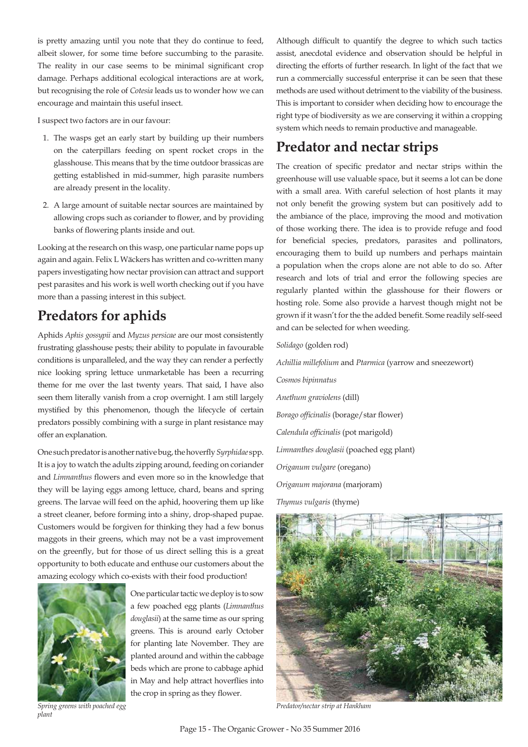is pretty amazing until you note that they do continue to feed, albeit slower, for some time before succumbing to the parasite. The reality in our case seems to be minimal significant crop damage. Perhaps additional ecological interactions are at work, but recognising the role of *Cotesia* leads us to wonder how we can encourage and maintain this useful insect.

I suspect two factors are in our favour:

- 1. The wasps get an early start by building up their numbers on the caterpillars feeding on spent rocket crops in the glasshouse. This means that by the time outdoor brassicas are getting established in mid-summer, high parasite numbers are already present in the locality.
- A large amount of suitable nectar sources are maintained by allowing crops such as coriander to flower, and by providing banks of flowering plants inside and out.

Looking at the research on this wasp, one particular name pops up again and again. Felix L Wäckers has written and co-written many papers investigating how nectar provision can attract and support pest parasites and his work is well worth checking out if you have more than a passing interest in this subject.

## **Predators for aphids**

Aphids *Aphis gossypii* and *Myzus persicae* are our most consistently frustrating glasshouse pests; their ability to populate in favourable conditions is unparalleled, and the way they can render a perfectly nice looking spring lettuce unmarketable has been a recurring theme for me over the last twenty years. That said, I have also seen them literally vanish from a crop overnight. I am still largely mystified by this phenomenon, though the lifecycle of certain predators possibly combining with a surge in plant resistance may offer an explanation.

One such predator is another native bug, the hoverfly Syrphidae spp. It is a joy to watch the adults zipping around, feeding on coriander and *Limnanthus* flowers and even more so in the knowledge that they will be laying eggs among lettuce, chard, beans and spring greens. The larvae will feed on the aphid, hoovering them up like a street cleaner, before forming into a shiny, drop-shaped pupae. Customers would be forgiven for thinking they had a few bonus maggots in their greens, which may not be a vast improvement on the greenfly, but for those of us direct selling this is a great opportunity to both educate and enthuse our customers about the amazing ecology which co-exists with their food production!



 $\eta$ *Nant* 

One particular tactic we deploy is to sow a few poached egg plants (Limnanthus *douglasii*) at the same time as our spring greens. This is around early October for planting late November. They are planted around and within the cabbage beds which are prone to cabbage aphid in May and help attract hoverflies into the crop in spring as they flower.

Although difficult to quantify the degree to which such tactics assist, anecdotal evidence and observation should be helpful in directing the efforts of further research. In light of the fact that we run a commercially successful enterprise it can be seen that these methods are used without detriment to the viability of the business. This is important to consider when deciding how to encourage the right type of biodiversity as we are conserving it within a cropping system which needs to remain productive and manageable.

## **Predator and nectar strips**

The creation of specific predator and nectar strips within the greenhouse will use valuable space, but it seems a lot can be done with a small area. With careful selection of host plants it may not only benefit the growing system but can positively add to the ambiance of the place, improving the mood and motivation of those working there. The idea is to provide refuge and food for beneficial species, predators, parasites and pollinators, encouraging them to build up numbers and perhaps maintain a population when the crops alone are not able to do so. After research and lots of trial and error the following species are regularly planted within the glasshouse for their flowers or hosting role. Some also provide a harvest though might not be grown if it wasn't for the the added benefit. Some readily self-seed and can be selected for when weeding.

#### *Solidago* (golden rod)

Achillia millefolium and Ptarmica (yarrow and sneezewort)

Cosmos bipinnatus *Anethum graviolens* (dill) *Borago officinalis* (borage/star flower) Calendula officinalis (pot marigold) *Limnanthes douglasii* (poached egg plant) *Origanum vulgare* (oregano) *Origanum majorana* (marjoram) *Thymus vulgaris* (thyme)



**Predator/nectar strip at Hankham**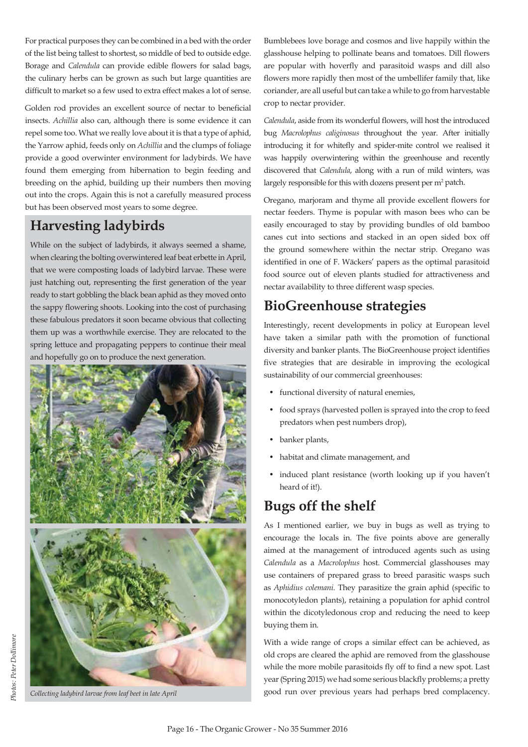For practical purposes they can be combined in a bed with the order of the list being tallest to shortest, so middle of bed to outside edge. Borage and *Calendula* can provide edible flowers for salad bags, the culinary herbs can be grown as such but large quantities are difficult to market so a few used to extra effect makes a lot of sense.

Golden rod provides an excellent source of nectar to beneficial insects. Achillia also can, although there is some evidence it can repel some too. What we really love about it is that a type of aphid, the Yarrow aphid, feeds only on *Achillia* and the clumps of foliage provide a good overwinter environment for ladybirds. We have found them emerging from hibernation to begin feeding and breeding on the aphid, building up their numbers then moving out into the crops. Again this is not a carefully measured process but has been observed most years to some degree.

## **Harvesting ladybirds**

While on the subject of ladybirds, it always seemed a shame, when clearing the bolting overwintered leaf beat erbette in April, that we were composting loads of ladybird larvae. These were just hatching out, representing the first generation of the year ready to start gobbling the black bean aphid as they moved onto the sappy flowering shoots. Looking into the cost of purchasing these fabulous predators it soon became obvious that collecting them up was a worthwhile exercise. They are relocated to the spring lettuce and propagating peppers to continue their meal and hopefully go on to produce the next generation.



Collecting ladybird larvae from leaf beet in late April

Bumblebees love borage and cosmos and live happily within the glasshouse helping to pollinate beans and tomatoes. Dill flowers are popular with hoverfly and parasitoid wasps and dill also flowers more rapidly then most of the umbellifer family that, like coriander, are all useful but can take a while to go from harvestable crop to nectar provider.

Calendula, aside from its wonderful flowers, will host the introduced bug Macrolophus caliginosus throughout the year. After initially introducing it for whitefly and spider-mite control we realised it was happily overwintering within the greenhouse and recently discovered that *Calendula*, along with a run of mild winters, was largely responsible for this with dozens present per  $m<sup>2</sup>$  patch.

Oregano, marjoram and thyme all provide excellent flowers for nectar feeders. Thyme is popular with mason bees who can be easily encouraged to stay by providing bundles of old bamboo canes cut into sections and stacked in an open sided box off the ground somewhere within the nectar strip. Oregano was identified in one of F. Wäckers' papers as the optimal parasitoid food source out of eleven plants studied for attractiveness and nectar availability to three different wasp species.

## **BioGreenhouse strategies**

Interestingly, recent developments in policy at European level have taken a similar path with the promotion of functional diversity and banker plants. The BioGreenhouse project identifies five strategies that are desirable in improving the ecological sustainability of our commercial greenhouses:

- functional diversity of natural enemies,
- food sprays (harvested pollen is sprayed into the crop to feed predators when pest numbers drop),
- banker plants,
- habitat and climate management, and
- induced plant resistance (worth looking up if you haven't heard of it!).

## **Bugs off the shelf**

As I mentioned earlier, we buy in bugs as well as trying to encourage the locals in. The five points above are generally aimed at the management of introduced agents such as using *Calendula* as a *Macrolophus* host. Commercial glasshouses may use containers of prepared grass to breed parasitic wasps such as *Aphidius colemani*. They parasitize the grain aphid (specific to monocotyledon plants), retaining a population for aphid control within the dicotyledonous crop and reducing the need to keep buying them in.

With a wide range of crops a similar effect can be achieved, as old crops are cleared the aphid are removed from the glasshouse while the more mobile parasitoids fly off to find a new spot. Last year (Spring 2015) we had some serious blackfly problems; a pretty good run over previous years had perhaps bred complacency.